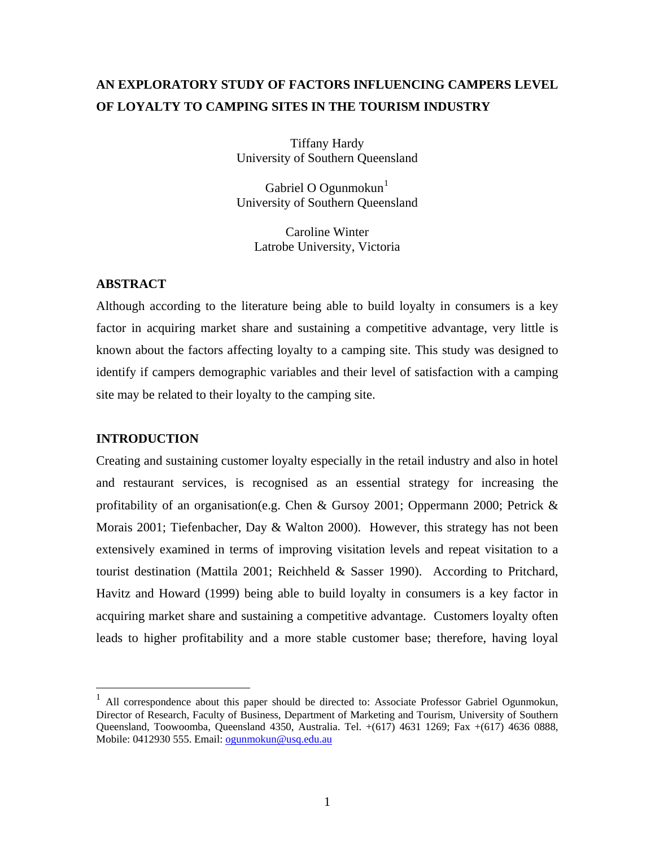# **AN EXPLORATORY STUDY OF FACTORS INFLUENCING CAMPERS LEVEL OF LOYALTY TO CAMPING SITES IN THE TOURISM INDUSTRY**

Tiffany Hardy University of Southern Queensland

Gabriel O Ogunmokun $<sup>1</sup>$  $<sup>1</sup>$  $<sup>1</sup>$ </sup> University of Southern Queensland

Caroline Winter Latrobe University, Victoria

#### **ABSTRACT**

Although according to the literature being able to build loyalty in consumers is a key factor in acquiring market share and sustaining a competitive advantage, very little is known about the factors affecting loyalty to a camping site. This study was designed to identify if campers demographic variables and their level of satisfaction with a camping site may be related to their loyalty to the camping site.

#### **INTRODUCTION**

 $\overline{a}$ 

Creating and sustaining customer loyalty especially in the retail industry and also in hotel and restaurant services, is recognised as an essential strategy for increasing the profitability of an organisation(e.g. Chen & Gursoy 2001; Oppermann 2000; Petrick & Morais 2001; Tiefenbacher, Day & Walton 2000). However, this strategy has not been extensively examined in terms of improving visitation levels and repeat visitation to a tourist destination (Mattila 2001; Reichheld & Sasser 1990). According to Pritchard, Havitz and Howard (1999) being able to build loyalty in consumers is a key factor in acquiring market share and sustaining a competitive advantage. Customers loyalty often leads to higher profitability and a more stable customer base; therefore, having loyal

<span id="page-0-0"></span><sup>1</sup> All correspondence about this paper should be directed to: Associate Professor Gabriel Ogunmokun, Director of Research, Faculty of Business, Department of Marketing and Tourism, University of Southern Queensland, Toowoomba, Queensland 4350, Australia. Tel. +(617) 4631 1269; Fax +(617) 4636 0888, Mobile: 0412930 555. Email: [ogunmokun@usq.edu.au](mailto:ogunmokun@usq.edu.au)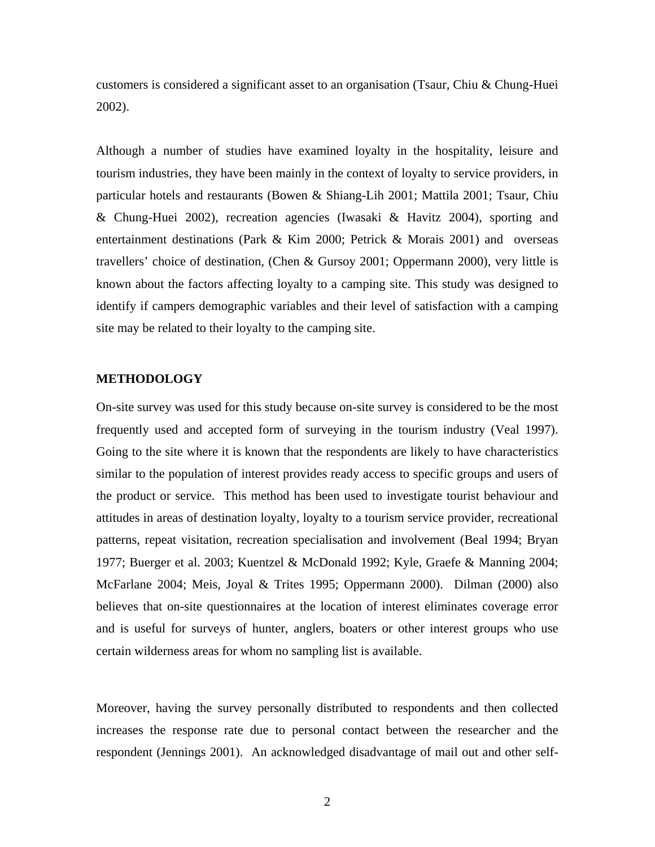customers is considered a significant asset to an organisation (Tsaur, Chiu & Chung-Huei 2002).

Although a number of studies have examined loyalty in the hospitality, leisure and tourism industries, they have been mainly in the context of loyalty to service providers, in particular hotels and restaurants (Bowen & Shiang-Lih 2001; Mattila 2001; Tsaur, Chiu & Chung-Huei 2002), recreation agencies (Iwasaki & Havitz 2004), sporting and entertainment destinations (Park & Kim 2000; Petrick & Morais 2001) and overseas travellers' choice of destination, (Chen & Gursoy 2001; Oppermann 2000), very little is known about the factors affecting loyalty to a camping site. This study was designed to identify if campers demographic variables and their level of satisfaction with a camping site may be related to their loyalty to the camping site.

#### **METHODOLOGY**

On-site survey was used for this study because on-site survey is considered to be the most frequently used and accepted form of surveying in the tourism industry (Veal 1997). Going to the site where it is known that the respondents are likely to have characteristics similar to the population of interest provides ready access to specific groups and users of the product or service. This method has been used to investigate tourist behaviour and attitudes in areas of destination loyalty, loyalty to a tourism service provider, recreational patterns, repeat visitation, recreation specialisation and involvement (Beal 1994; Bryan 1977; Buerger et al. 2003; Kuentzel & McDonald 1992; Kyle, Graefe & Manning 2004; McFarlane 2004; Meis, Joyal & Trites 1995; Oppermann 2000). Dilman (2000) also believes that on-site questionnaires at the location of interest eliminates coverage error and is useful for surveys of hunter, anglers, boaters or other interest groups who use certain wilderness areas for whom no sampling list is available.

Moreover, having the survey personally distributed to respondents and then collected increases the response rate due to personal contact between the researcher and the respondent (Jennings 2001). An acknowledged disadvantage of mail out and other self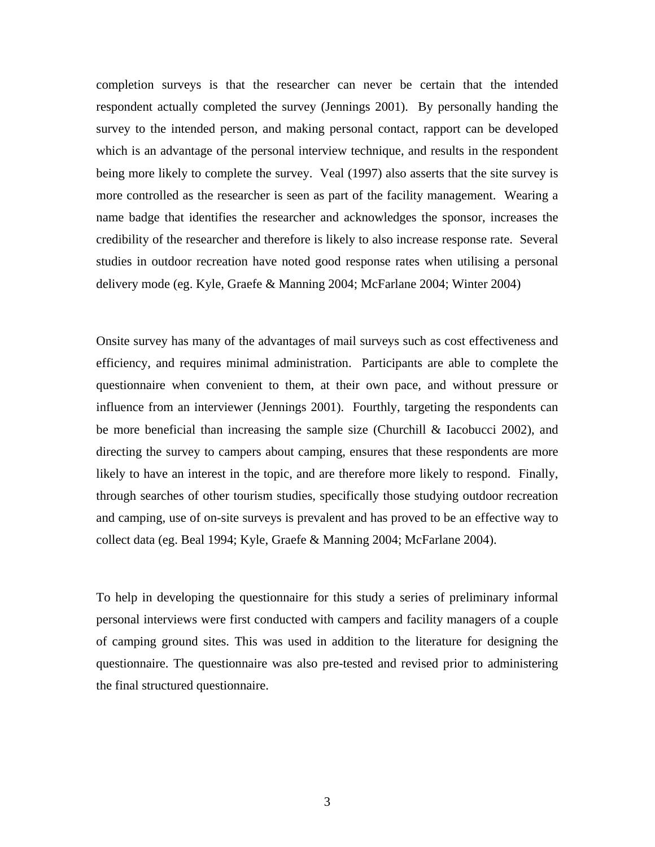completion surveys is that the researcher can never be certain that the intended respondent actually completed the survey (Jennings 2001). By personally handing the survey to the intended person, and making personal contact, rapport can be developed which is an advantage of the personal interview technique, and results in the respondent being more likely to complete the survey. Veal (1997) also asserts that the site survey is more controlled as the researcher is seen as part of the facility management. Wearing a name badge that identifies the researcher and acknowledges the sponsor, increases the credibility of the researcher and therefore is likely to also increase response rate. Several studies in outdoor recreation have noted good response rates when utilising a personal delivery mode (eg. Kyle, Graefe & Manning 2004; McFarlane 2004; Winter 2004)

Onsite survey has many of the advantages of mail surveys such as cost effectiveness and efficiency, and requires minimal administration. Participants are able to complete the questionnaire when convenient to them, at their own pace, and without pressure or influence from an interviewer (Jennings 2001). Fourthly, targeting the respondents can be more beneficial than increasing the sample size (Churchill & Iacobucci 2002), and directing the survey to campers about camping, ensures that these respondents are more likely to have an interest in the topic, and are therefore more likely to respond. Finally, through searches of other tourism studies, specifically those studying outdoor recreation and camping, use of on-site surveys is prevalent and has proved to be an effective way to collect data (eg. Beal 1994; Kyle, Graefe & Manning 2004; McFarlane 2004).

To help in developing the questionnaire for this study a series of preliminary informal personal interviews were first conducted with campers and facility managers of a couple of camping ground sites. This was used in addition to the literature for designing the questionnaire. The questionnaire was also pre-tested and revised prior to administering the final structured questionnaire.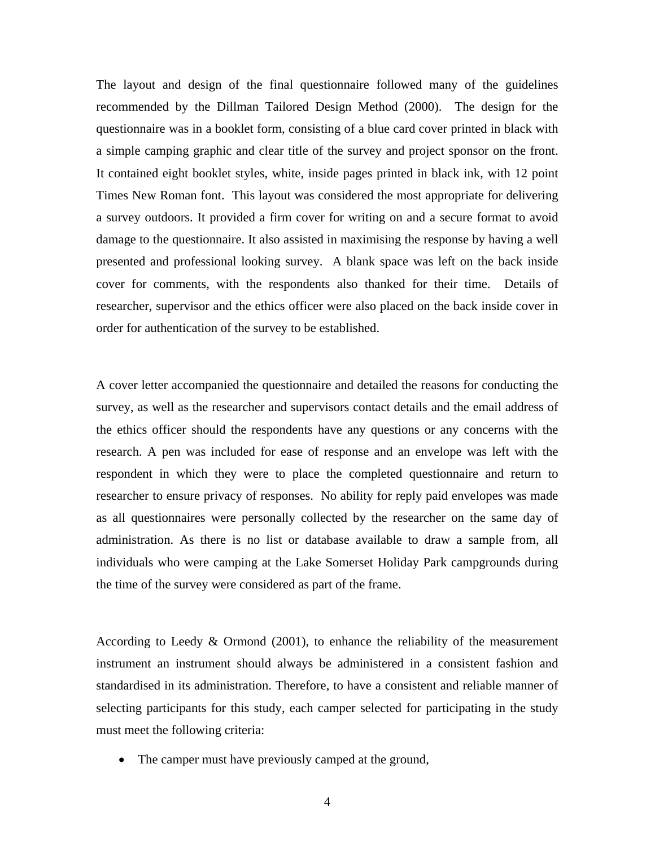The layout and design of the final questionnaire followed many of the guidelines recommended by the Dillman Tailored Design Method (2000). The design for the questionnaire was in a booklet form, consisting of a blue card cover printed in black with a simple camping graphic and clear title of the survey and project sponsor on the front. It contained eight booklet styles, white, inside pages printed in black ink, with 12 point Times New Roman font. This layout was considered the most appropriate for delivering a survey outdoors. It provided a firm cover for writing on and a secure format to avoid damage to the questionnaire. It also assisted in maximising the response by having a well presented and professional looking survey. A blank space was left on the back inside cover for comments, with the respondents also thanked for their time. Details of researcher, supervisor and the ethics officer were also placed on the back inside cover in order for authentication of the survey to be established.

A cover letter accompanied the questionnaire and detailed the reasons for conducting the survey, as well as the researcher and supervisors contact details and the email address of the ethics officer should the respondents have any questions or any concerns with the research. A pen was included for ease of response and an envelope was left with the respondent in which they were to place the completed questionnaire and return to researcher to ensure privacy of responses. No ability for reply paid envelopes was made as all questionnaires were personally collected by the researcher on the same day of administration. As there is no list or database available to draw a sample from, all individuals who were camping at the Lake Somerset Holiday Park campgrounds during the time of the survey were considered as part of the frame.

According to Leedy & Ormond (2001), to enhance the reliability of the measurement instrument an instrument should always be administered in a consistent fashion and standardised in its administration. Therefore, to have a consistent and reliable manner of selecting participants for this study, each camper selected for participating in the study must meet the following criteria:

• The camper must have previously camped at the ground,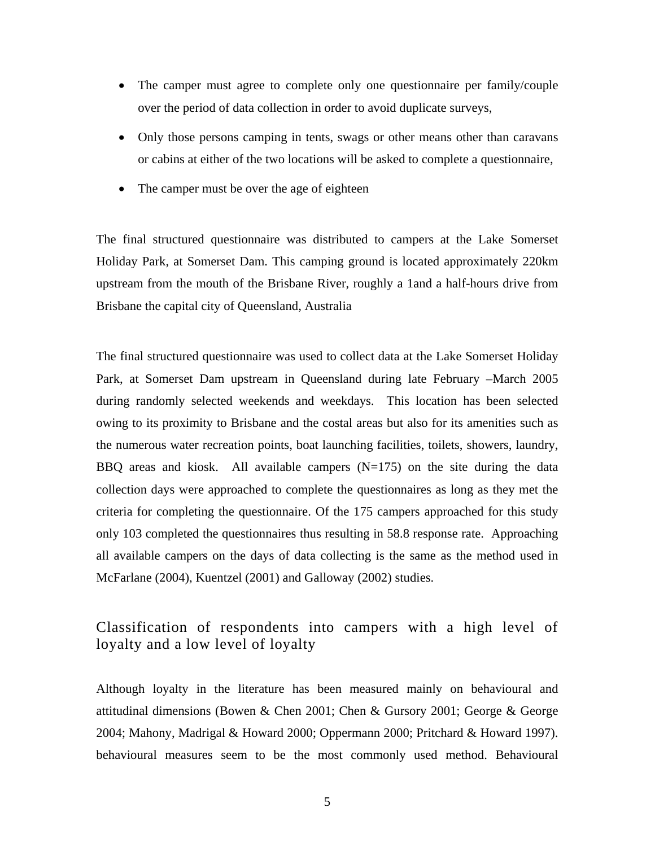- The camper must agree to complete only one questionnaire per family/couple over the period of data collection in order to avoid duplicate surveys,
- Only those persons camping in tents, swags or other means other than caravans or cabins at either of the two locations will be asked to complete a questionnaire,
- The camper must be over the age of eighteen

The final structured questionnaire was distributed to campers at the Lake Somerset Holiday Park, at Somerset Dam. This camping ground is located approximately 220km upstream from the mouth of the Brisbane River, roughly a 1and a half-hours drive from Brisbane the capital city of Queensland, Australia

The final structured questionnaire was used to collect data at the Lake Somerset Holiday Park, at Somerset Dam upstream in Queensland during late February –March 2005 during randomly selected weekends and weekdays. This location has been selected owing to its proximity to Brisbane and the costal areas but also for its amenities such as the numerous water recreation points, boat launching facilities, toilets, showers, laundry, BBQ areas and kiosk. All available campers  $(N=175)$  on the site during the data collection days were approached to complete the questionnaires as long as they met the criteria for completing the questionnaire. Of the 175 campers approached for this study only 103 completed the questionnaires thus resulting in 58.8 response rate. Approaching all available campers on the days of data collecting is the same as the method used in McFarlane (2004), Kuentzel (2001) and Galloway (2002) studies.

## Classification of respondents into campers with a high level of loyalty and a low level of loyalty

Although loyalty in the literature has been measured mainly on behavioural and attitudinal dimensions (Bowen & Chen 2001; Chen & Gursory 2001; George & George 2004; Mahony, Madrigal & Howard 2000; Oppermann 2000; Pritchard & Howard 1997). behavioural measures seem to be the most commonly used method. Behavioural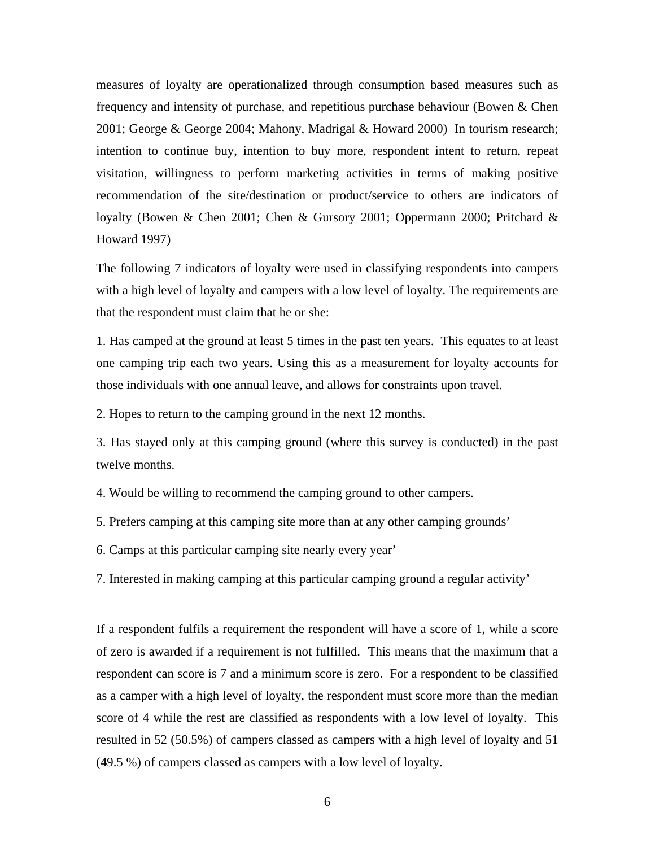measures of loyalty are operationalized through consumption based measures such as frequency and intensity of purchase, and repetitious purchase behaviour (Bowen & Chen 2001; George & George 2004; Mahony, Madrigal & Howard 2000) In tourism research; intention to continue buy, intention to buy more, respondent intent to return, repeat visitation, willingness to perform marketing activities in terms of making positive recommendation of the site/destination or product/service to others are indicators of loyalty (Bowen & Chen 2001; Chen & Gursory 2001; Oppermann 2000; Pritchard & Howard 1997)

The following 7 indicators of loyalty were used in classifying respondents into campers with a high level of loyalty and campers with a low level of loyalty. The requirements are that the respondent must claim that he or she:

1. Has camped at the ground at least 5 times in the past ten years. This equates to at least one camping trip each two years. Using this as a measurement for loyalty accounts for those individuals with one annual leave, and allows for constraints upon travel.

2. Hopes to return to the camping ground in the next 12 months.

3. Has stayed only at this camping ground (where this survey is conducted) in the past twelve months.

4. Would be willing to recommend the camping ground to other campers.

5. Prefers camping at this camping site more than at any other camping grounds'

6. Camps at this particular camping site nearly every year'

7. Interested in making camping at this particular camping ground a regular activity'

If a respondent fulfils a requirement the respondent will have a score of 1, while a score of zero is awarded if a requirement is not fulfilled. This means that the maximum that a respondent can score is 7 and a minimum score is zero. For a respondent to be classified as a camper with a high level of loyalty, the respondent must score more than the median score of 4 while the rest are classified as respondents with a low level of loyalty. This resulted in 52 (50.5%) of campers classed as campers with a high level of loyalty and 51 (49.5 %) of campers classed as campers with a low level of loyalty.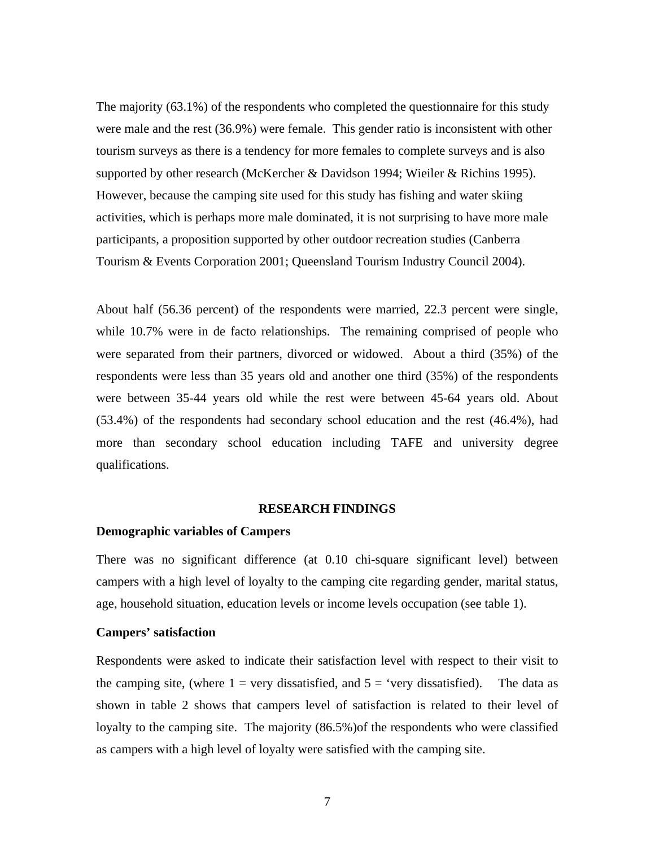The majority (63.1%) of the respondents who completed the questionnaire for this study were male and the rest (36.9%) were female. This gender ratio is inconsistent with other tourism surveys as there is a tendency for more females to complete surveys and is also supported by other research (McKercher & Davidson 1994; Wieiler & Richins 1995). However, because the camping site used for this study has fishing and water skiing activities, which is perhaps more male dominated, it is not surprising to have more male participants, a proposition supported by other outdoor recreation studies (Canberra Tourism & Events Corporation 2001; Queensland Tourism Industry Council 2004).

About half (56.36 percent) of the respondents were married, 22.3 percent were single, while 10.7% were in de facto relationships. The remaining comprised of people who were separated from their partners, divorced or widowed. About a third (35%) of the respondents were less than 35 years old and another one third (35%) of the respondents were between 35-44 years old while the rest were between 45-64 years old. About (53.4%) of the respondents had secondary school education and the rest (46.4%), had more than secondary school education including TAFE and university degree qualifications.

#### **RESEARCH FINDINGS**

#### **Demographic variables of Campers**

There was no significant difference (at 0.10 chi-square significant level) between campers with a high level of loyalty to the camping cite regarding gender, marital status, age, household situation, education levels or income levels occupation (see table 1).

#### **Campers' satisfaction**

Respondents were asked to indicate their satisfaction level with respect to their visit to the camping site, (where  $1 = \text{very dissatisfied}$ , and  $5 = \text{very dissatisfied}$ ). The data as shown in table 2 shows that campers level of satisfaction is related to their level of loyalty to the camping site. The majority (86.5%)of the respondents who were classified as campers with a high level of loyalty were satisfied with the camping site.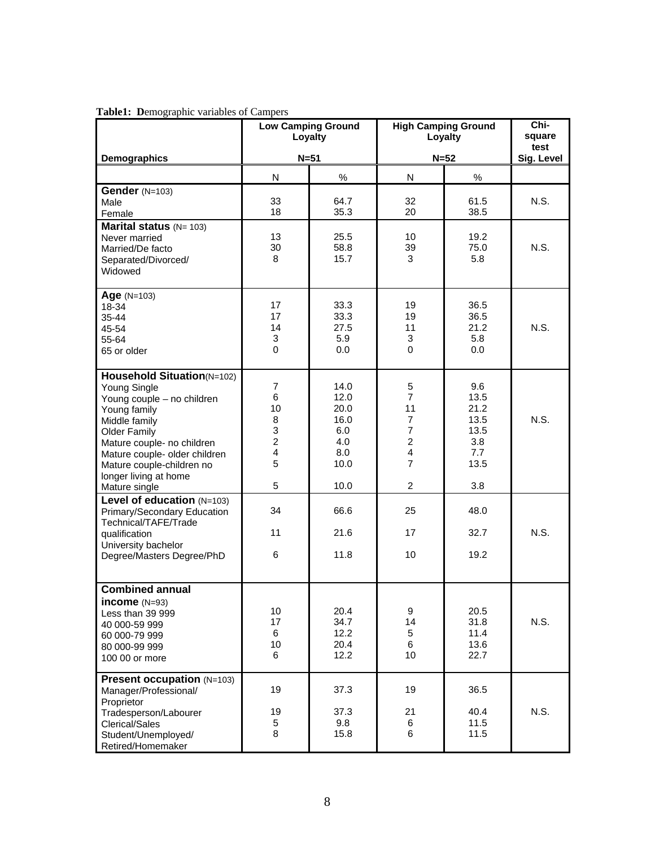|                                                                                                                                                                                                                                                                        | <b>Low Camping Ground</b><br>Loyalty                                 |                                                                   | <b>High Camping Ground</b><br>Loyalty                                                                                                          |                                                                  | Chi-<br>square<br>test |
|------------------------------------------------------------------------------------------------------------------------------------------------------------------------------------------------------------------------------------------------------------------------|----------------------------------------------------------------------|-------------------------------------------------------------------|------------------------------------------------------------------------------------------------------------------------------------------------|------------------------------------------------------------------|------------------------|
| Demographics                                                                                                                                                                                                                                                           | $N = 51$                                                             |                                                                   | $N=52$                                                                                                                                         |                                                                  | Sig. Level             |
|                                                                                                                                                                                                                                                                        | N                                                                    | $\%$                                                              | N                                                                                                                                              | $\%$                                                             |                        |
| Gender $(N=103)$<br>Male<br>Female                                                                                                                                                                                                                                     | 33<br>18                                                             | 64.7<br>35.3                                                      | 32<br>20                                                                                                                                       | 61.5<br>38.5                                                     | N.S.                   |
| <b>Marital status</b> $(N = 103)$<br>Never married<br>Married/De facto<br>Separated/Divorced/<br>Widowed                                                                                                                                                               | 13<br>30<br>8                                                        | 25.5<br>58.8<br>15.7                                              | 10<br>39<br>3                                                                                                                                  | 19.2<br>75.0<br>5.8                                              | N.S.                   |
| $Age (N=103)$<br>18-34<br>$35 - 44$<br>45-54<br>55-64<br>65 or older                                                                                                                                                                                                   | 17<br>17<br>14<br>3<br>$\mathbf 0$                                   | 33.3<br>33.3<br>27.5<br>5.9<br>$0.0\,$                            | 19<br>19<br>11<br>3<br>0                                                                                                                       | 36.5<br>36.5<br>21.2<br>5.8<br>0.0                               | N.S.                   |
| Household Situation(N=102)<br>Young Single<br>Young couple - no children<br>Young family<br>Middle family<br><b>Older Family</b><br>Mature couple- no children<br>Mature couple- older children<br>Mature couple-children no<br>longer living at home<br>Mature single | $\overline{7}$<br>6<br>10<br>8<br>3<br>$\overline{c}$<br>4<br>5<br>5 | 14.0<br>12.0<br>20.0<br>16.0<br>6.0<br>4.0<br>8.0<br>10.0<br>10.0 | 5<br>$\overline{7}$<br>11<br>$\overline{7}$<br>$\overline{7}$<br>$\overline{2}$<br>$\overline{\mathbf{4}}$<br>$\overline{7}$<br>$\overline{2}$ | 9.6<br>13.5<br>21.2<br>13.5<br>13.5<br>3.8<br>7.7<br>13.5<br>3.8 | N.S.                   |
| Level of education (N=103)<br>Primary/Secondary Education<br>Technical/TAFE/Trade<br>qualification<br>University bachelor<br>Degree/Masters Degree/PhD                                                                                                                 | 34<br>11<br>6                                                        | 66.6<br>21.6<br>11.8                                              | 25<br>17<br>10                                                                                                                                 | 48.0<br>32.7<br>19.2                                             | N.S.                   |
| <b>Combined annual</b><br>income $(N=93)$<br>Less than 39 999<br>40 000-59 999<br>60 000-79 999<br>80 000-99 999<br>100 00 or more                                                                                                                                     | 10<br>17<br>6<br>10<br>6                                             | 20.4<br>34.7<br>12.2<br>20.4<br>12.2                              | 9<br>14<br>5<br>6<br>10                                                                                                                        | 20.5<br>31.8<br>11.4<br>13.6<br>22.7                             | N.S.                   |
| <b>Present occupation (N=103)</b><br>Manager/Professional/<br>Proprietor<br>Tradesperson/Labourer<br><b>Clerical/Sales</b><br>Student/Unemployed/<br>Retired/Homemaker                                                                                                 | 19<br>19<br>5<br>8                                                   | 37.3<br>37.3<br>9.8<br>15.8                                       | 19<br>21<br>6<br>6                                                                                                                             | 36.5<br>40.4<br>11.5<br>11.5                                     | N.S.                   |

#### **Table1: D**emographic variables of Campers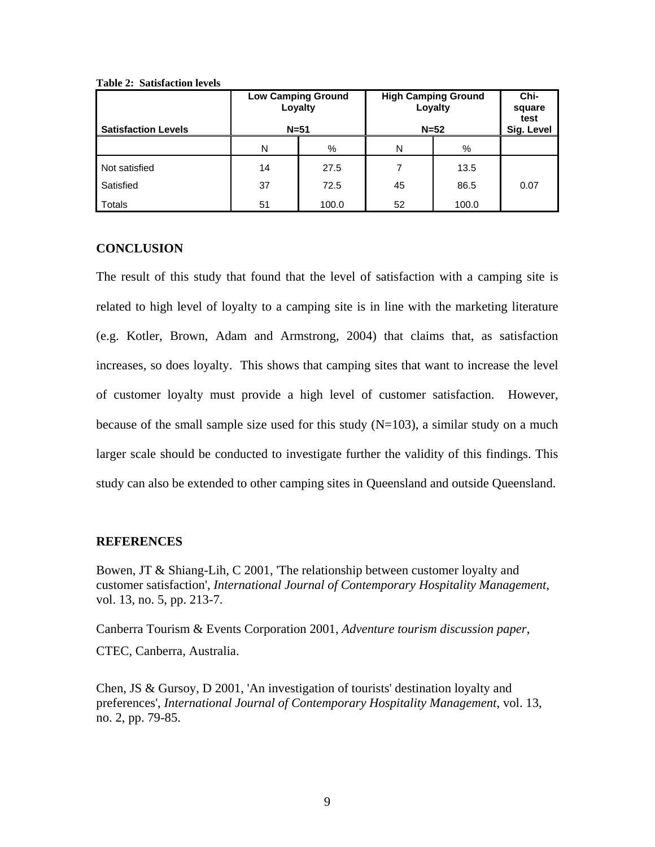| <b>Satisfaction Levels</b> | <b>Low Camping Ground</b><br>Loyalty<br>$N=51$ |       | <b>High Camping Ground</b><br>Loyalty<br>$N=52$ |       | Chi-<br>square<br>test<br>Sig. Level |
|----------------------------|------------------------------------------------|-------|-------------------------------------------------|-------|--------------------------------------|
|                            | N                                              | %     | N                                               | %     |                                      |
| Not satisfied              | 14                                             | 27.5  | 7                                               | 13.5  |                                      |
| Satisfied                  | 37                                             | 72.5  | 45                                              | 86.5  | 0.07                                 |
| Totals                     | 51                                             | 100.0 | 52                                              | 100.0 |                                      |

**Table 2: Satisfaction levels** 

## **CONCLUSION**

The result of this study that found that the level of satisfaction with a camping site is related to high level of loyalty to a camping site is in line with the marketing literature (e.g. Kotler, Brown, Adam and Armstrong, 2004) that claims that, as satisfaction increases, so does loyalty. This shows that camping sites that want to increase the level of customer loyalty must provide a high level of customer satisfaction. However, because of the small sample size used for this study  $(N=103)$ , a similar study on a much larger scale should be conducted to investigate further the validity of this findings. This study can also be extended to other camping sites in Queensland and outside Queensland.

### **REFERENCES**

Bowen, JT & Shiang-Lih, C 2001, 'The relationship between customer loyalty and customer satisfaction', *International Journal of Contemporary Hospitality Management*, vol. 13, no. 5, pp. 213-7.

Canberra Tourism & Events Corporation 2001, *Adventure tourism discussion paper*, CTEC, Canberra, Australia.

Chen, JS & Gursoy, D 2001, 'An investigation of tourists' destination loyalty and preferences', *International Journal of Contemporary Hospitality Management*, vol. 13, no. 2, pp. 79-85.